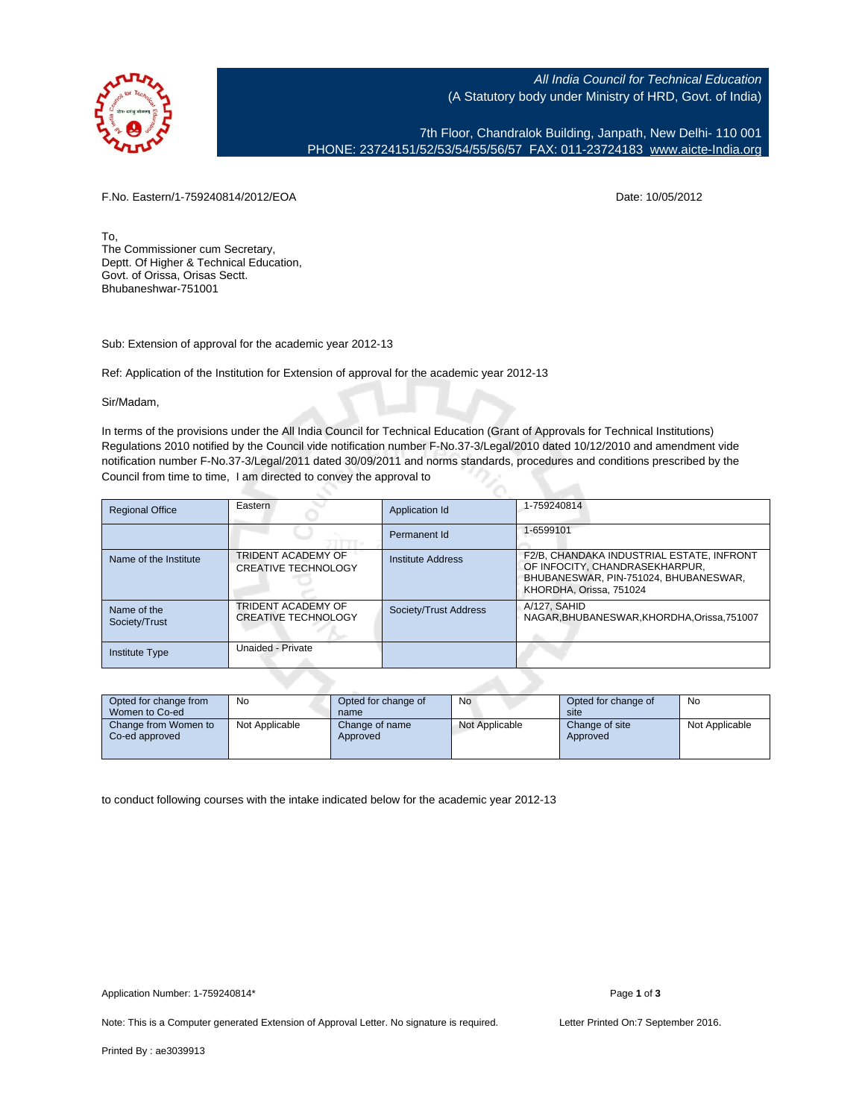

All India Council for Technical Education (A Statutory body under Ministry of HRD, Govt. of India)

7th Floor, Chandralok Building, Janpath, New Delhi- 110 001 PHONE: 23724151/52/53/54/55/56/57 FAX: 011-23724183 [www.aicte-India.org](http://www.aicte-India.org)

F.No. Eastern/1-759240814/2012/EOA Date: 10/05/2012

To, The Commissioner cum Secretary, Deptt. Of Higher & Technical Education, Govt. of Orissa, Orisas Sectt. Bhubaneshwar-751001

Sub: Extension of approval for the academic year 2012-13

Ref: Application of the Institution for Extension of approval for the academic year 2012-13

Sir/Madam,

In terms of the provisions under the All India Council for Technical Education (Grant of Approvals for Technical Institutions) Regulations 2010 notified by the Council vide notification number F-No.37-3/Legal/2010 dated 10/12/2010 and amendment vide notification number F-No.37-3/Legal/2011 dated 30/09/2011 and norms standards, procedures and conditions prescribed by the Council from time to time, I am directed to convey the approval to

| <b>Regional Office</b>       | Eastern                                          | Application Id        | 1-759240814                                                                                                                                     |
|------------------------------|--------------------------------------------------|-----------------------|-------------------------------------------------------------------------------------------------------------------------------------------------|
|                              |                                                  | Permanent Id          | 1-6599101                                                                                                                                       |
| Name of the Institute        | TRIDENT ACADEMY OF<br><b>CREATIVE TECHNOLOGY</b> | Institute Address     | F2/B, CHANDAKA INDUSTRIAL ESTATE, INFRONT<br>OF INFOCITY, CHANDRASEKHARPUR,<br>BHUBANESWAR, PIN-751024, BHUBANESWAR,<br>KHORDHA, Orissa, 751024 |
| Name of the<br>Society/Trust | TRIDENT ACADEMY OF<br><b>CREATIVE TECHNOLOGY</b> | Society/Trust Address | A/127, SAHID<br>NAGAR.BHUBANESWAR.KHORDHA.Orissa.751007                                                                                         |
| Institute Type               | Unaided - Private                                |                       |                                                                                                                                                 |

| Opted for change from<br>Women to Co-ed | No             | Opted for change of<br>name | No             | Opted for change of<br>site | No             |
|-----------------------------------------|----------------|-----------------------------|----------------|-----------------------------|----------------|
| Change from Women to<br>Co-ed approved  | Not Applicable | Change of name<br>Approved  | Not Applicable | Change of site<br>Approved  | Not Applicable |

to conduct following courses with the intake indicated below for the academic year 2012-13

Note: This is a Computer generated Extension of Approval Letter. No signature is required. Letter Printed On:7 September 2016.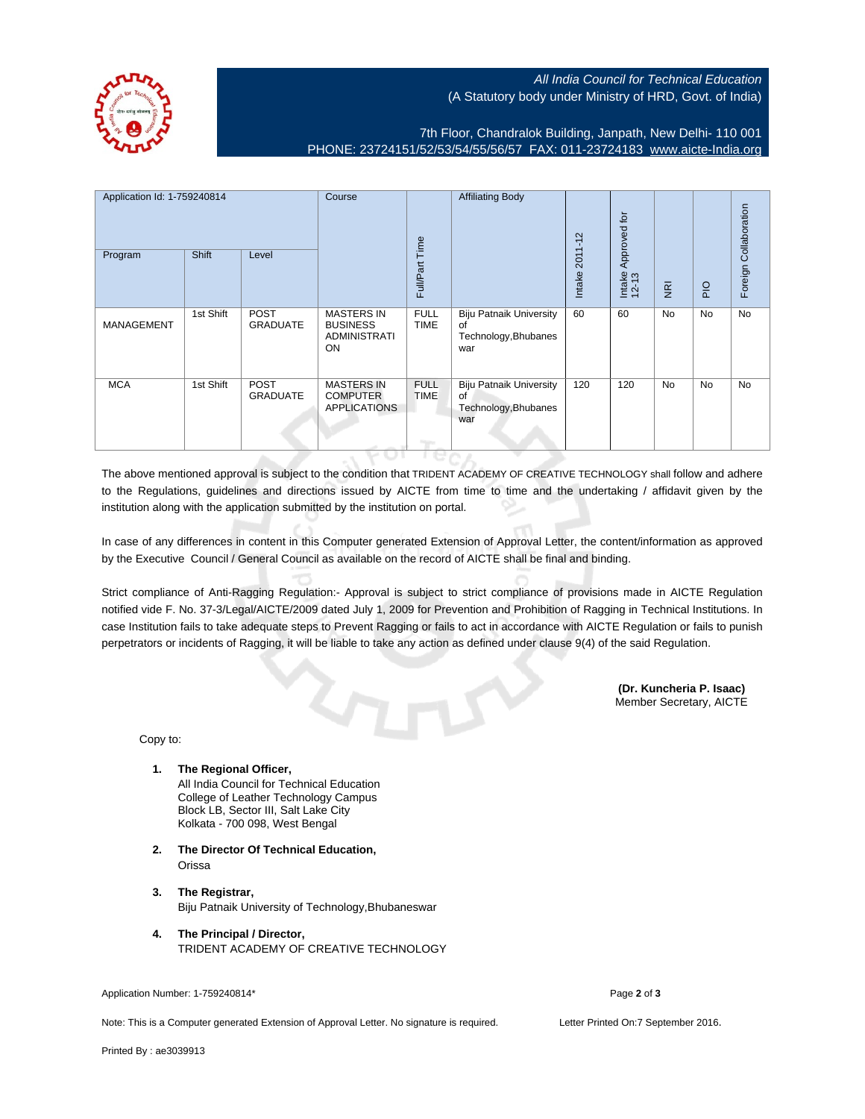

## All India Council for Technical Education (A Statutory body under Ministry of HRD, Govt. of India)

7th Floor, Chandralok Building, Janpath, New Delhi- 110 001 PHONE: 23724151/52/53/54/55/56/57 FAX: 011-23724183 [www.aicte-India.org](http://www.aicte-India.org)

| Application Id: 1-759240814<br>Program | <b>Shift</b> | Level                          | Course                                                            | Full/Part Time             | <b>Affiliating Body</b>                                             | $2011 - 12$<br>Intake | Approved for<br>Intake<br>12-13 | $\overline{g}$ | $rac{O}{P}$ | Foreign Collaboration |
|----------------------------------------|--------------|--------------------------------|-------------------------------------------------------------------|----------------------------|---------------------------------------------------------------------|-----------------------|---------------------------------|----------------|-------------|-----------------------|
| <b>MANAGEMENT</b>                      | 1st Shift    | <b>POST</b><br><b>GRADUATE</b> | <b>MASTERS IN</b><br><b>BUSINESS</b><br><b>ADMINISTRATI</b><br>ON | <b>FULL</b><br><b>TIME</b> | <b>Biju Patnaik University</b><br>of<br>Technology, Bhubanes<br>war | 60                    | 60                              | <b>No</b>      | No          | <b>No</b>             |
| <b>MCA</b>                             | 1st Shift    | POST<br><b>GRADUATE</b>        | <b>MASTERS IN</b><br><b>COMPUTER</b><br><b>APPLICATIONS</b>       | <b>FULL</b><br><b>TIME</b> | <b>Biju Patnaik University</b><br>of<br>Technology, Bhubanes<br>war | 120                   | 120                             | <b>No</b>      | No          | No                    |

The above mentioned approval is subject to the condition that TRIDENT ACADEMY OF CREATIVE TECHNOLOGY shall follow and adhere to the Regulations, guidelines and directions issued by AICTE from time to time and the undertaking / affidavit given by the institution along with the application submitted by the institution on portal.

In case of any differences in content in this Computer generated Extension of Approval Letter, the content/information as approved by the Executive Council / General Council as available on the record of AICTE shall be final and binding.

Strict compliance of Anti-Ragging Regulation:- Approval is subject to strict compliance of provisions made in AICTE Regulation notified vide F. No. 37-3/Legal/AICTE/2009 dated July 1, 2009 for Prevention and Prohibition of Ragging in Technical Institutions. In case Institution fails to take adequate steps to Prevent Ragging or fails to act in accordance with AICTE Regulation or fails to punish perpetrators or incidents of Ragging, it will be liable to take any action as defined under clause 9(4) of the said Regulation.

> **(Dr. Kuncheria P. Isaac)** Member Secretary, AICTE

Copy to:

- **1. The Regional Officer,** All India Council for Technical Education College of Leather Technology Campus Block LB, Sector III, Salt Lake City Kolkata - 700 098, West Bengal
- **2. The Director Of Technical Education,** Orissa
- **3. The Registrar,** Biju Patnaik University of Technology,Bhubaneswar
- **4. The Principal / Director,** TRIDENT ACADEMY OF CREATIVE TECHNOLOGY

Application Number: 1-759240814\* Page **2** of **3**

Note: This is a Computer generated Extension of Approval Letter. No signature is required. Letter Printed On:7 September 2016.